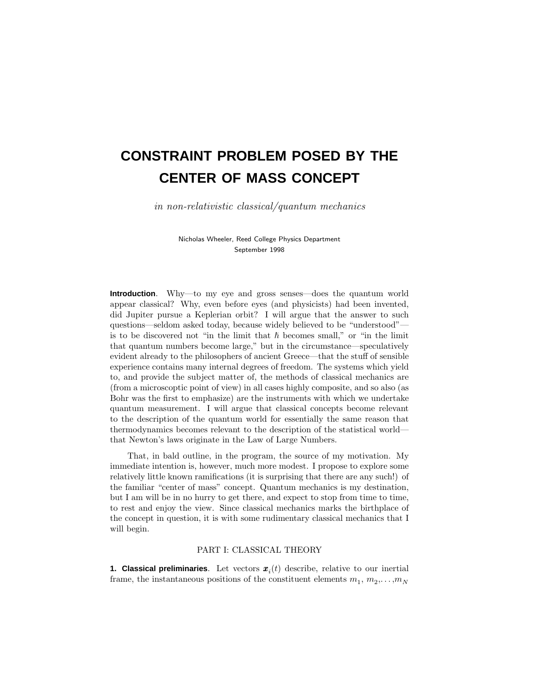# **CONSTRAINT PROBLEM POSED BY THE CENTER OF MASS CONCEPT**

in non-relativistic classical/quantum mechanics

Nicholas Wheeler, Reed College Physics Department September 1998

**Introduction**. Why—to my eye and gross senses—does the quantum world appear classical? Why, even before eyes (and physicists) had been invented, did Jupiter pursue a Keplerian orbit? I will argue that the answer to such questions—seldom asked today, because widely believed to be "understood" is to be discovered not "in the limit that  $\hbar$  becomes small," or "in the limit that quantum numbers become large," but in the circumstance—speculatively evident already to the philosophers of ancient Greece—that the stuff of sensible experience contains many internal degrees of freedom. The systems which yield to, and provide the subject matter of, the methods of classical mechanics are (from a microscoptic point of view) in all cases highly composite, and so also (as Bohr was the first to emphasize) are the instruments with which we undertake quantum measurement. I will argue that classical concepts become relevant to the description of the quantum world for essentially the same reason that thermodynamics becomes relevant to the description of the statistical world that Newton's laws originate in the Law of Large Numbers.

That, in bald outline, in the program, the source of my motivation. My immediate intention is, however, much more modest. I propose to explore some relatively little known ramifications (it is surprising that there are any such!) of the familiar "center of mass" concept. Quantum mechanics is my destination, but I am will be in no hurry to get there, and expect to stop from time to time, to rest and enjoy the view. Since classical mechanics marks the birthplace of the concept in question, it is with some rudimentary classical mechanics that I will begin.

# PART I: CLASSICAL THEORY

**1. Classical preliminaries**. Let vectors  $\boldsymbol{x}_i(t)$  describe, relative to our inertial frame, the instantaneous positions of the constituent elements  $m_1, m_2, \ldots, m_N$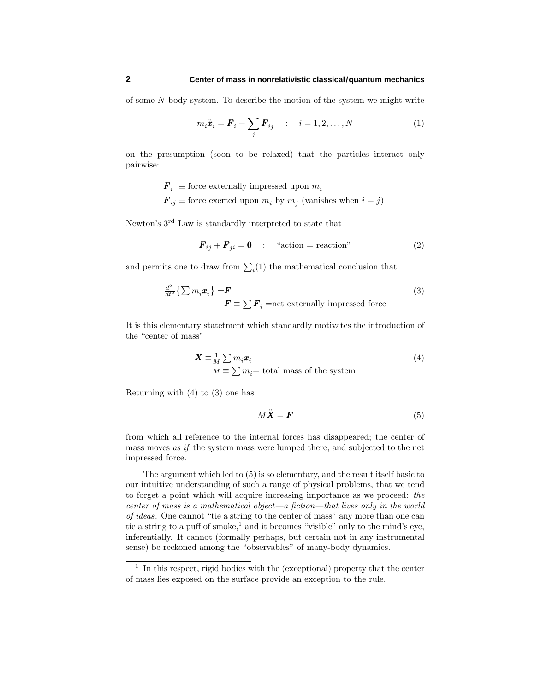of some *N*-body system. To describe the motion of the system we might write

$$
m_i \ddot{\boldsymbol{x}}_i = \boldsymbol{F}_i + \sum_j \boldsymbol{F}_{ij} \qquad : \quad i = 1, 2, \dots, N \tag{1}
$$

on the presumption (soon to be relaxed) that the particles interact only pairwise:

 $\mathbf{F}_i \equiv$  force externally impressed upon  $m_i$ 

 $\mathbf{F}_{ij}$  ≡ force exerted upon  $m_i$  by  $m_j$  (vanishes when  $i = j$ )

Newton's 3rd Law is standardly interpreted to state that

$$
\boldsymbol{F}_{ij} + \boldsymbol{F}_{ji} = \mathbf{0} \quad : \quad \text{``action} = \text{reaction''} \tag{2}
$$

and permits one to draw from  $\sum_i(1)$  the mathematical conclusion that

$$
\frac{d^2}{dt^2} \left\{ \sum m_i \boldsymbol{x}_i \right\} = \boldsymbol{F}
$$
\n
$$
\boldsymbol{F} \equiv \sum \boldsymbol{F}_i = \text{net externally impressed force}
$$
\n(3)

It is this elementary statetment which standardly motivates the introduction of the "center of mass"

$$
\mathbf{X} \equiv \frac{1}{M} \sum m_i \mathbf{x}_i
$$
  

$$
M \equiv \sum m_i = \text{total mass of the system}
$$
 (4)

Returning with  $(4)$  to  $(3)$  one has

$$
M\ddot{\mathbf{X}} = \mathbf{F} \tag{5}
$$

from which all reference to the internal forces has disappeared; the center of mass moves as if the system mass were lumped there, and subjected to the net impressed force.

The argument which led to (5) is so elementary, and the result itself basic to our intuitive understanding of such a range of physical problems, that we tend to forget a point which will acquire increasing importance as we proceed: the center of mass is a mathematical object—a fiction—that lives only in the world of ideas. One cannot "tie a string to the center of mass" any more than one can tie a string to a puff of smoke,<sup>1</sup> and it becomes "visible" only to the mind's eye, inferentially. It cannot (formally perhaps, but certain not in any instrumental sense) be reckoned among the "observables" of many-body dynamics.

 $1$  In this respect, rigid bodies with the (exceptional) property that the center of mass lies exposed on the surface provide an exception to the rule.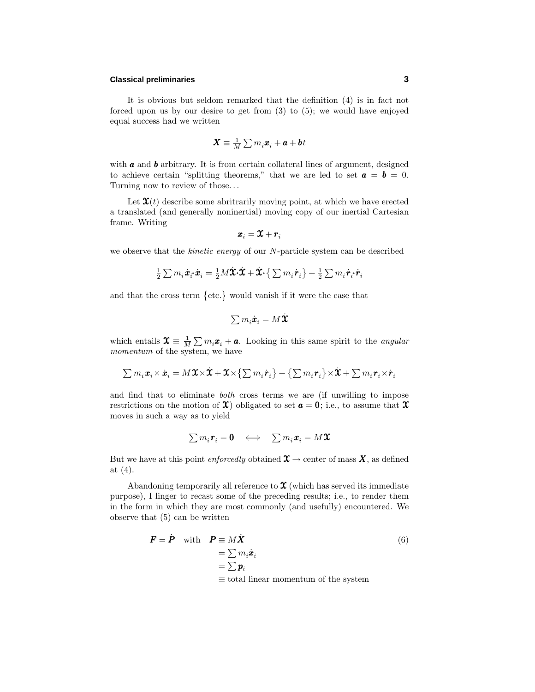### **Classical preliminaries 3**

It is obvious but seldom remarked that the definition (4) is in fact not forced upon us by our desire to get from (3) to (5); we would have enjoyed equal success had we written

$$
\pmb{X}\equiv\tfrac{1}{M}\sum m_i\pmb{x}_i+\pmb{a}+\pmb{b}t
$$

with **a** and **b** arbitrary. It is from certain collateral lines of argument, designed to achieve certain "splitting theorems," that we are led to set  $\mathbf{a} = \mathbf{b} = 0$ . Turning now to review of those*...*

Let  $\mathbf{x}(t)$  describe some abritrarily moving point, at which we have erected a translated (and generally noninertial) moving copy of our inertial Cartesian frame. Writing

$$
\pmb{x}_i = \pmb{\mathfrak{X}} + \pmb{r}_i
$$

we observe that the kinetic energy of our *N*-particle system can be described

$$
\tfrac{1}{2}\textstyle\sum m_i\dot{\pmb{x}}_{i}\!\cdot\!\dot{\pmb{x}}_{i}=\tfrac{1}{2}M\dot{\pmb{X}}\!\cdot\!\dot{\pmb{X}}\!\cdot\!\dot{\pmb{X}}\!+\!\dot{\pmb{X}}\!\cdot\!\big\{\sum m_i\dot{\pmb{r}}_{i}\big\}+\tfrac{1}{2}\sum m_i\dot{\pmb{r}}_{i}\!\cdot\!\dot{\pmb{r}}_{i}
$$

and that the cross term  $\{\text{etc.}\}\$  would vanish if it were the case that

$$
\textstyle\sum m_i\dot{\pmb{x}}_i = M\dot{\pmb{X}}
$$

which entails  $\mathbf{x} \equiv \frac{1}{M} \sum m_i \mathbf{x}_i + \mathbf{a}$ . Looking in this same spirit to the *angular* momentum of the system, we have

$$
\textstyle \sum m_i \textbf{\textit{x}}_i \times \dot{\textbf{\textit{x}}}_i = M \textbf{\textit{X}} \times \dot{\textbf{\textit{X}}} + \textbf{\textit{X}} \times \left\{ \sum m_i \dot{\textbf{\textit{r}}}_i \right\} + \left\{ \sum m_i \textbf{\textit{r}}_i \right\} \times \dot{\textbf{\textit{X}}} + \sum m_i \textbf{\textit{r}}_i \times \dot{\textbf{\textit{r}}}_i
$$

and find that to eliminate both cross terms we are (if unwilling to impose restrictions on the motion of  $\mathfrak{X}$ ) obligated to set  $\boldsymbol{a} = \mathbf{0}$ ; i.e., to assume that  $\mathfrak{X}$ moves in such a way as to yield

$$
\textstyle \sum m_i \bm{r}_i = \bm{0} \quad \Longleftrightarrow \quad \sum m_i \bm{x}_i = M \bm{\mathfrak{X}}
$$

But we have at this point enforcedly obtained  $\mathfrak{X} \to$  center of mass  $\mathfrak{X}$ , as defined at (4).

Abandoning temporarily all reference to  $\mathfrak X$  (which has served its immediate purpose), I linger to recast some of the preceding results; i.e., to render them in the form in which they are most commonly (and usefully) encountered. We observe that (5) can be written

$$
\mathbf{F} = \dot{\mathbf{P}} \quad \text{with} \quad \mathbf{P} \equiv M\dot{\mathbf{X}} \\
= \sum m_i \dot{\mathbf{x}}_i \\
= \sum \mathbf{p}_i \\
= \text{total linear momentum of the system}
$$
\n(6)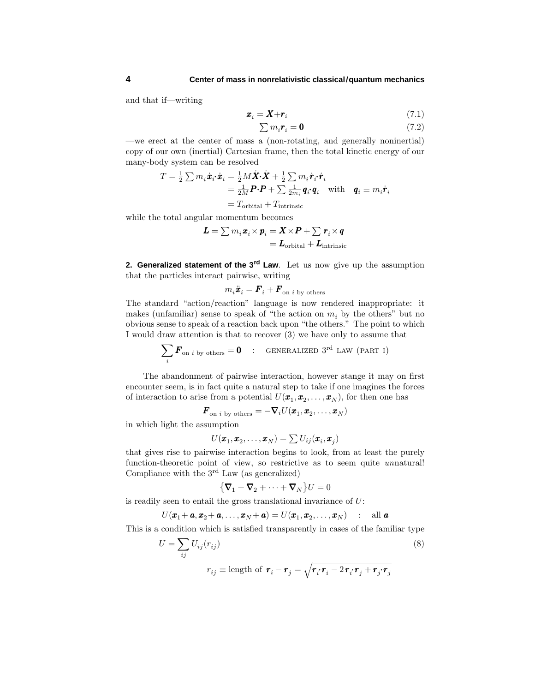and that if—writing

$$
x_i = X + r_i \tag{7.1}
$$

$$
\sum m_i \mathbf{r}_i = \mathbf{0} \tag{7.2}
$$

—we erect at the center of mass a (non-rotating, and generally noninertial) copy of our own (inertial) Cartesian frame, then the total kinetic energy of our many-body system can be resolved

$$
T = \frac{1}{2} \sum m_i \dot{\boldsymbol{x}}_i \cdot \dot{\boldsymbol{x}}_i = \frac{1}{2} M \dot{\boldsymbol{X}} \cdot \dot{\boldsymbol{X}} + \frac{1}{2} \sum m_i \dot{\boldsymbol{r}}_i \cdot \dot{\boldsymbol{r}}_i
$$
  
=  $\frac{1}{2M} \boldsymbol{P} \cdot \boldsymbol{P} + \sum \frac{1}{2m_i} \boldsymbol{q}_i \cdot \boldsymbol{q}_i$  with  $\boldsymbol{q}_i \equiv m_i \dot{\boldsymbol{r}}_i$   
=  $T_{\text{orbital}} + T_{\text{intrinsic}}$ 

while the total angular momentum becomes

$$
L = \sum m_i \boldsymbol{x}_i \times \boldsymbol{p}_i = \boldsymbol{X} \times \boldsymbol{P} + \sum \boldsymbol{r}_i \times \boldsymbol{q}
$$

$$
= \boldsymbol{L}_{\text{orbital}} + \boldsymbol{L}_{\text{intrinsic}}
$$

**2. Generalized statement of the 3rd Law**. Let us now give up the assumption that the particles interact pairwise, writing

$$
m_i\ddot{\boldsymbol{x}}_i=\boldsymbol{F}_i+\boldsymbol{F}_{\text{on }i\text{ by others}}
$$

The standard "action/reaction" language is now rendered inappropriate: it makes (unfamiliar) sense to speak of "the action on  $m_i$  by the others" but no obvious sense to speak of a reaction back upon "the others." The point to which I would draw attention is that to recover (3) we have only to assume that

$$
\sum_{i} \boldsymbol{F}_{\text{on } i \text{ by others}} = \boldsymbol{0} \quad : \quad \text{GENERALIZED } 3^{\text{rd}} \text{ LAW (PART I)}
$$

The abandonment of pairwise interaction, however stange it may on first encounter seem, is in fact quite a natural step to take if one imagines the forces of interaction to arise from a potential  $U(\pmb{x}_1, \pmb{x}_2, \ldots, \pmb{x}_N)$ , for then one has

$$
\boldsymbol{F}_{\text{on }i\text{ by others}}=-\boldsymbol{\nabla}_i U(\boldsymbol{x}_1,\boldsymbol{x}_2,\ldots,\boldsymbol{x}_N)
$$

in which light the assumption

$$
U(\pmb{x}_1,\pmb{x}_2,\ldots,\pmb{x}_N)=\sum U_{ij}(\pmb{x}_i,\pmb{x}_j)
$$

that gives rise to pairwise interaction begins to look, from at least the purely function-theoretic point of view, so restrictive as to seem quite unnatural! Compliance with the 3rd Law (as generalized)

$$
\left\{ \boldsymbol{\nabla}_1 + \boldsymbol{\nabla}_2 + \cdots + \boldsymbol{\nabla}_N \right\} U = 0
$$

is readily seen to entail the gross translational invariance of *U*:

$$
U(\boldsymbol{x}_1+\boldsymbol{a},\boldsymbol{x}_2+\boldsymbol{a},\ldots,\boldsymbol{x}_N+\boldsymbol{a})=U(\boldsymbol{x}_1,\boldsymbol{x}_2,\ldots,\boldsymbol{x}_N) \quad : \quad \text{all } \boldsymbol{a}
$$

This is a condition which is satisfied transparently in cases of the familiar type

$$
U = \sum_{ij} U_{ij}(r_{ij})
$$
\n
$$
r_{ij} \equiv \text{length of } \mathbf{r}_i - \mathbf{r}_j = \sqrt{\mathbf{r}_i \cdot \mathbf{r}_i - 2 \mathbf{r}_i \cdot \mathbf{r}_j + \mathbf{r}_j \cdot \mathbf{r}_j}
$$
\n(8)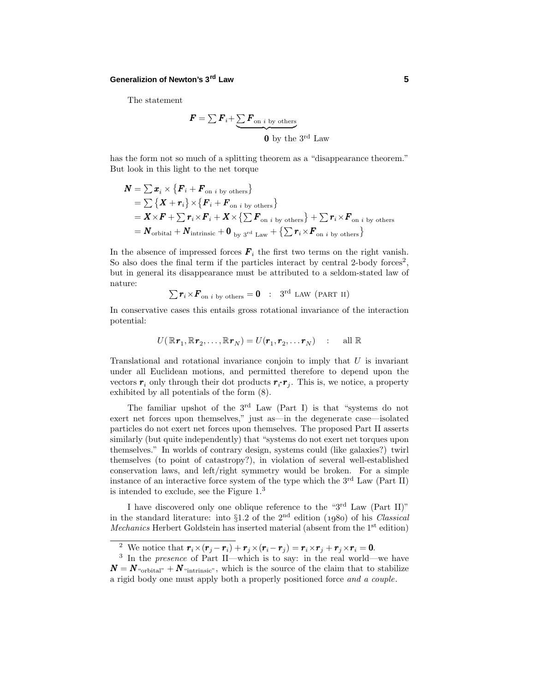# **Generalizion of Newton's 3rd Law 5**

The statement

$$
\boldsymbol{F} = \sum \boldsymbol{F}_i + \underbrace{\sum \boldsymbol{F}_{\text{on } i \text{ by others}}}_{\boldsymbol{0} \text{ by the } 3^{\text{rd}} \text{ Law}}
$$

has the form not so much of a splitting theorem as a "disappearance theorem." But look in this light to the net torque

$$
N = \sum x_i \times \{F_i + F_{\text{on } i \text{ by others}}\}
$$
  
=  $\sum \{X + r_i\} \times \{F_i + F_{\text{on } i \text{ by others}}\}$   
=  $X \times F + \sum r_i \times F_i + X \times \{\sum F_{\text{on } i \text{ by others}}\} + \sum r_i \times F_{\text{on } i \text{ by others}}$   
=  $N_{\text{orbital}} + N_{\text{intrinsic}} + 0_{\text{by 3}^{\text{rd}} \text{Law}} + \{\sum r_i \times F_{\text{on } i \text{ by others}}\}$ 

In the absence of impressed forces  $\mathbf{F}_i$  the first two terms on the right vanish. So also does the final term if the particles interact by central 2-body forces<sup>2</sup>, but in general its disappearance must be attributed to a seldom-stated law of nature:

$$
\sum \boldsymbol{r}_i \times \boldsymbol{F}_{\text{on }i\text{ by others}} = \boldsymbol{0} \quad : \quad 3^{\text{rd}} \text{ LAW (PART II)}
$$

In conservative cases this entails gross rotational invariance of the interaction potential:

$$
U(\mathbb{R}\boldsymbol{r}_1,\mathbb{R}\boldsymbol{r}_2,\ldots,\mathbb{R}\boldsymbol{r}_N)=U(\boldsymbol{r}_1,\boldsymbol{r}_2,\ldots\boldsymbol{r}_N)\quad:\quad \text{ all }\mathbb{R}
$$

Translational and rotational invariance conjoin to imply that *U* is invariant under all Euclidean motions, and permitted therefore to depend upon the vectors  $r_i$  only through their dot products  $r_i r_j$ . This is, we notice, a property exhibited by all potentials of the form (8).

The familiar upshot of the 3<sup>rd</sup> Law (Part I) is that "systems do not exert net forces upon themselves," just as—in the degenerate case—isolated particles do not exert net forces upon themselves. The proposed Part II asserts similarly (but quite independently) that "systems do not exert net torques upon themselves." In worlds of contrary design, systems could (like galaxies?) twirl themselves (to point of catastropy?), in violation of several well-established conservation laws, and left/right symmetry would be broken. For a simple instance of an interactive force system of the type which the  $3<sup>rd</sup>$  Law (Part II) is intended to exclude, see the Figure  $1<sup>3</sup>$ 

I have discovered only one oblique reference to the "3rd Law (Part II)" in the standard literature: into  $\S1.2$  of the 2<sup>nd</sup> edition (1980) of his *Classical Mechanics* Herbert Goldstein has inserted material (absent from the  $1<sup>st</sup>$  edition)

<sup>&</sup>lt;sup>2</sup> We notice that  $\mathbf{r}_i \times (\mathbf{r}_j - \mathbf{r}_i) + \mathbf{r}_j \times (\mathbf{r}_i - \mathbf{r}_j) = \mathbf{r}_i \times \mathbf{r}_j + \mathbf{r}_j \times \mathbf{r}_i = \mathbf{0}$ .<br><sup>3</sup> In the presence of Part II—which is to say: in the real world—we have  $N = N$  "orbital" +  $N$  "intrinsic", which is the source of the claim that to stabilize a rigid body one must apply both a properly positioned force and a couple.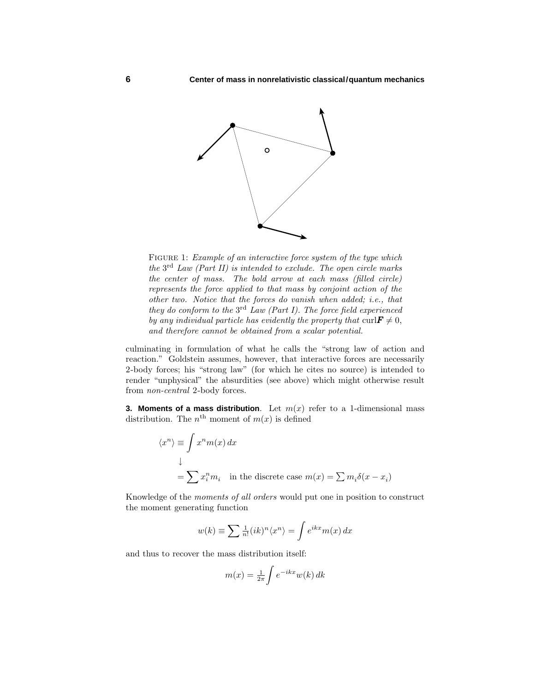

FIGURE 1: *Example of an interactive force system of the type which* the  $3<sup>rd</sup>$  Law (Part II) is intended to exclude. The open circle marks the center of mass. The bold arrow at each mass (filled circle) represents the force applied to that mass by conjoint action of the other two. Notice that the forces do vanish when added; i.e., that they do conform to the  $3^{rd}$  Law (Part I). The force field experienced by any individual particle has evidently the property that  $\text{curl} \mathbf{F} \neq 0$ , and therefore cannot be obtained from a scalar potential.

culminating in formulation of what he calls the "strong law of action and reaction." Goldstein assumes, however, that interactive forces are necessarily 2-body forces; his "strong law" (for which he cites no source) is intended to render "unphysical" the absurdities (see above) which might otherwise result from non-central 2-body forces.

**3. Moments of a mass distribution.** Let  $m(x)$  refer to a 1-dimensional mass distribution. The  $n^{\text{th}}$  moment of  $m(x)$  is defined

$$
\langle x^n \rangle \equiv \int x^n m(x) dx
$$
  
\n
$$
\downarrow
$$
  
\n
$$
= \sum x_i^n m_i \text{ in the discrete case } m(x) = \sum m_i \delta(x - x_i)
$$

Knowledge of the moments of all orders would put one in position to construct the moment generating function

$$
w(k) \equiv \sum \frac{1}{n!} (ik)^n \langle x^n \rangle = \int e^{ikx} m(x) \, dx
$$

and thus to recover the mass distribution itself:

$$
m(x) = \frac{1}{2\pi} \int e^{-ikx} w(k) \, dk
$$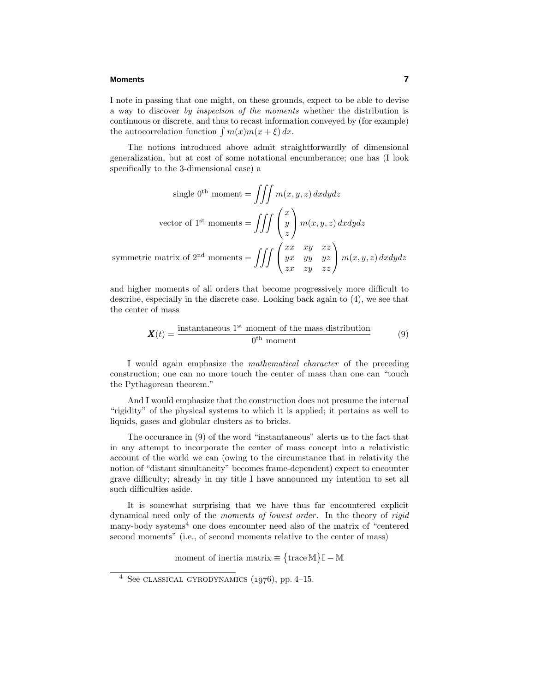#### **Moments 7**

I note in passing that one might, on these grounds, expect to be able to devise a way to discover by inspection of the moments whether the distribution is continuous or discrete, and thus to recast information conveyed by (for example) the autocorrelation function  $\int m(x)m(x+\xi) dx$ .

The notions introduced above admit straightforwardly of dimensional generalization, but at cost of some notational encumberance; one has (I look specifically to the 3-dimensional case) a

single 0<sup>th</sup> moment = 
$$
\iiint m(x, y, z) dx dy dz
$$
  
vector of 1<sup>st</sup> moments =  $\iiint \begin{pmatrix} x \\ y \\ z \end{pmatrix} m(x, y, z) dx dy dz$   
symmetric matrix of 2<sup>nd</sup> moments =  $\iiint \begin{pmatrix} xx & xy & xz \\ yx & yy & yz \\ zx & zy & zz \end{pmatrix} m(x, y, z) dx dy dz$ 

and higher moments of all orders that become progressively more difficult to describe, especially in the discrete case. Looking back again to (4), we see that the center of mass

$$
\mathbf{X}(t) = \frac{\text{instantaneous } 1^{\text{st}} \text{ moment of the mass distribution}}{0^{\text{th}} \text{ moment}} \tag{9}
$$

I would again emphasize the mathematical character of the preceding construction; one can no more touch the center of mass than one can "touch the Pythagorean theorem."

And I would emphasize that the construction does not presume the internal "rigidity" of the physical systems to which it is applied; it pertains as well to liquids, gases and globular clusters as to bricks.

The occurance in (9) of the word "instantaneous" alerts us to the fact that in any attempt to incorporate the center of mass concept into a relativistic account of the world we can (owing to the circumstance that in relativity the notion of "distant simultaneity" becomes frame-dependent) expect to encounter grave difficulty; already in my title I have announced my intention to set all such difficulties aside.

It is somewhat surprising that we have thus far encountered explicit dynamical need only of the *moments of lowest order*. In the theory of *rigid* many-body systems<sup>4</sup> one does encounter need also of the matrix of "centered" second moments" (i.e., of second moments relative to the center of mass)

moment of inertia matrix  $\equiv \{ \text{trace } M \} \mathbb{I} - \mathbb{M}$ 

<sup>&</sup>lt;sup>4</sup> See CLASSICAL GYRODYNAMICS  $(1976)$ , pp. 4–15.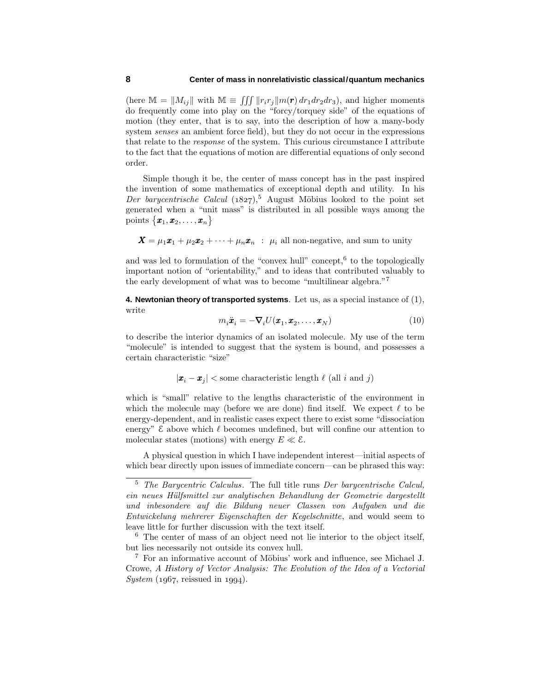(here  $\mathbb{M} = ||M_{ij}||$  with  $\mathbb{M} \equiv \iiint ||r_i r_j|| m(\mathbf{r}) dr_1 dr_2 dr_3$ ), and higher moments do frequently come into play on the "forcy/torquey side" of the equations of motion (they enter, that is to say, into the description of how a many-body system senses an ambient force field), but they do not occur in the expressions that relate to the response of the system. This curious circumstance I attribute to the fact that the equations of motion are differential equations of only second order.

Simple though it be, the center of mass concept has in the past inspired the invention of some mathematics of exceptional depth and utility. In his Der barycentrische Calcul (1827),<sup>5</sup> August Möbius looked to the point set generated when a "unit mass" is distributed in all possible ways among the points  $\{\pmb{x}_1, \pmb{x}_2, \dots, \pmb{x}_n\}$ 

 $\mathbf{X} = \mu_1 \mathbf{x}_1 + \mu_2 \mathbf{x}_2 + \cdots + \mu_n \mathbf{x}_n$  :  $\mu_i$  all non-negative, and sum to unity

and was led to formulation of the "convex hull" concept,  $6$  to the topologically important notion of "orientability," and to ideas that contributed valuably to the early development of what was to become "multilinear algebra."<sup>7</sup>

**4. Newtonian theory of transported systems**. Let us, as a special instance of (1), write

$$
m_i \ddot{\boldsymbol{x}}_i = -\boldsymbol{\nabla}_i U(\boldsymbol{x}_1, \boldsymbol{x}_2, \dots, \boldsymbol{x}_N)
$$
\n(10)

to describe the interior dynamics of an isolated molecule. My use of the term "molecule" is intended to suggest that the system is bound, and possesses a certain characteristic "size"

 $|\mathbf{x}_i - \mathbf{x}_j|$  < some characteristic length  $\ell$  (all *i* and *j*)

which is "small" relative to the lengths characteristic of the environment in which the molecule may (before we are done) find itself. We expect  $\ell$  to be energy-dependent, and in realistic cases expect there to exist some "dissociation energy"  $\mathcal E$  above which  $\ell$  becomes undefined, but will confine our attention to molecular states (motions) with energy  $E \ll \mathcal{E}$ .

A physical question in which I have independent interest—initial aspects of which bear directly upon issues of immediate concern—can be phrased this way:

<sup>5</sup> The Barycentric Calculus. The full title runs Der barycentrische Calcul, ein neues Hülfsmittel zur analytischen Behandlung der Geometrie dargestellt und inbesondere auf die Bildung neuer Classen von Aufgaben und die Entwickelung mehrerer Eigenschaften der Kegelschnitte, and would seem to leave little for further discussion with the text itself.

<sup>6</sup> The center of mass of an object need not lie interior to the object itself, but lies necessarily not outside its convex hull.

 $7$  For an informative account of Möbius' work and influence, see Michael J. Crowe, A History of Vector Analysis: The Evolution of the Idea of a Vectorial  $System (1967, reissued in 1994).$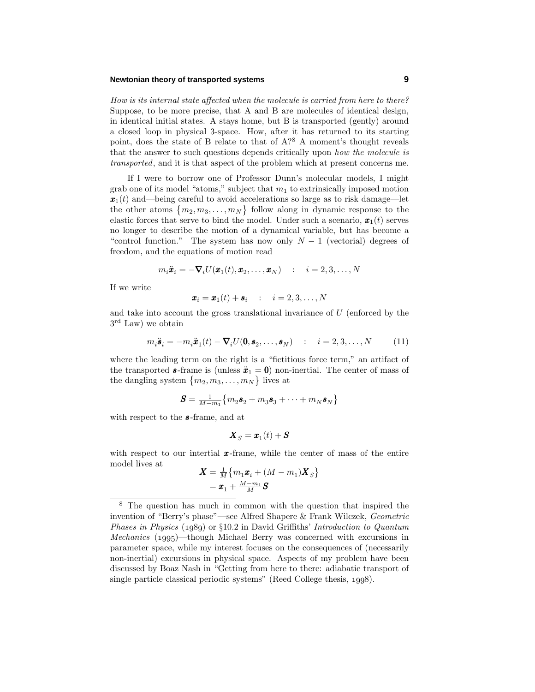### **Newtonian theory of transported systems 9**

How is its internal state affected when the molecule is carried from here to there? Suppose, to be more precise, that A and B are molecules of identical design, in identical initial states. A stays home, but B is transported (gently) around a closed loop in physical 3-space. How, after it has returned to its starting point, does the state of B relate to that of  $A$ <sup>28</sup> A moment's thought reveals that the answer to such questions depends critically upon how the molecule is transported, and it is that aspect of the problem which at present concerns me.

If I were to borrow one of Professor Dunn's molecular models, I might grab one of its model "atoms," subject that  $m_1$  to extrinsically imposed motion  $x_1(t)$  and—being careful to avoid accelerations so large as to risk damage—let the other atoms  ${m_2, m_3, \ldots, m_N}$  follow along in dynamic response to the elastic forces that serve to bind the model. Under such a scenario,  $\mathbf{x}_1(t)$  serves no longer to describe the motion of a dynamical variable, but has become a "control function." The system has now only  $N-1$  (vectorial) degrees of freedom, and the equations of motion read

$$
m_i \ddot{\boldsymbol{x}}_i = -\boldsymbol{\nabla}_i U(\boldsymbol{x}_1(t), \boldsymbol{x}_2, \dots, \boldsymbol{x}_N) \quad : \quad i = 2, 3, \dots, N
$$

If we write

$$
\boldsymbol{x}_i = \boldsymbol{x}_1(t) + \boldsymbol{s}_i \quad : \quad i = 2, 3, \dots, N
$$

and take into account the gross translational invariance of *U* (enforced by the  $3<sup>rd</sup>$  Law) we obtain

$$
m_i \ddot{\boldsymbol{s}}_i = -m_i \ddot{\boldsymbol{x}}_1(t) - \boldsymbol{\nabla}_i U(\boldsymbol{0}, \boldsymbol{s}_2, \dots, \boldsymbol{s}_N) \quad : \quad i = 2, 3, \dots, N \tag{11}
$$

where the leading term on the right is a "fictitious force term," an artifact of the transported **s**-frame is (unless  $\ddot{x}_1 = 0$ ) non-inertial. The center of mass of the dangling system  ${m_2, m_3, \ldots, m_N}$  lives at

$$
\boldsymbol{S} = \frac{1}{M-m_1} \big\{ m_2 \boldsymbol{s}_2 + m_3 \boldsymbol{s}_3 + \cdots + m_N \boldsymbol{s}_N \big\}
$$

with respect to the *s* -frame, and at

$$
\boldsymbol{X}_S = \boldsymbol{x}_1(t) + \boldsymbol{S}
$$

with respect to our intertial **x**-frame, while the center of mass of the entire model lives at

$$
\begin{aligned} \boldsymbol{X} &= \tfrac{1}{M} \big\{ m_1 \boldsymbol{x}_i + (M - m_1) \boldsymbol{X}_S \big\} \\ &= \boldsymbol{x}_1 + \tfrac{M - m_1}{M} \boldsymbol{S} \end{aligned}
$$

<sup>8</sup> The question has much in common with the question that inspired the invention of "Berry's phase"—see Alfred Shapere & Frank Wilczek, Geometric Phases in Physics  $(1989)$  or  $\S10.2$  in David Griffiths' Introduction to Quantum *Mechanics* (1995)—though Michael Berry was concerned with excursions in parameter space, while my interest focuses on the consequences of (necessarily non-inertial) excursions in physical space. Aspects of my problem have been discussed by Boaz Nash in "Getting from here to there: adiabatic transport of single particle classical periodic systems" (Reed College thesis,  $1998$ ).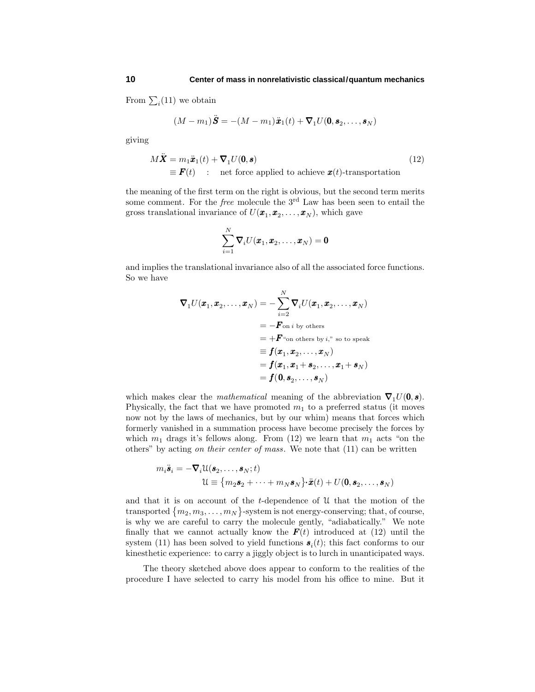From  $\sum_i(11)$  we obtain

$$
(M-m_1)\ddot{\mathbf{S}} = -(M-m_1)\ddot{\mathbf{x}}_1(t) + \boldsymbol{\nabla}_1 U(\mathbf{0}, \mathbf{s}_2, \dots, \mathbf{s}_N)
$$

giving

$$
M\ddot{\mathbf{X}} = m_1 \ddot{\mathbf{x}}_1(t) + \nabla_1 U(\mathbf{0}, \mathbf{s})
$$
  
\n
$$
\equiv \mathbf{F}(t) \quad : \quad \text{net force applied to achieve } \mathbf{x}(t) \text{-transportion}
$$
\n(12)

the meaning of the first term on the right is obvious, but the second term merits some comment. For the *free* molecule the 3<sup>rd</sup> Law has been seen to entail the gross translational invariance of  $U(\boldsymbol{x}_1, \boldsymbol{x}_2, \ldots, \boldsymbol{x}_N)$ , which gave

$$
\sum_{i=1}^N \boldsymbol{\nabla}_i U(\boldsymbol{x}_1,\boldsymbol{x}_2,\ldots,\boldsymbol{x}_N) = \boldsymbol{0}
$$

and implies the translational invariance also of all the associated force functions. So we have

$$
\nabla_1 U(\boldsymbol{x}_1, \boldsymbol{x}_2, \dots, \boldsymbol{x}_N) = -\sum_{i=2}^N \nabla_i U(\boldsymbol{x}_1, \boldsymbol{x}_2, \dots, \boldsymbol{x}_N)
$$
  
\n
$$
= -\boldsymbol{F}_{\text{on } i \text{ by others}}
$$
  
\n
$$
= +\boldsymbol{F}_{\text{``on others by $i$'', so to speak}}
$$
  
\n
$$
\equiv f(\boldsymbol{x}_1, \boldsymbol{x}_2, \dots, \boldsymbol{x}_N)
$$
  
\n
$$
= f(\boldsymbol{x}_1, \boldsymbol{x}_1 + \boldsymbol{s}_2, \dots, \boldsymbol{x}_1 + \boldsymbol{s}_N)
$$
  
\n
$$
= f(0, \boldsymbol{s}_2, \dots, \boldsymbol{s}_N)
$$

which makes clear the *mathematical* meaning of the abbreviation  $\nabla_1 U(\mathbf{0}, \mathbf{s})$ . Physically, the fact that we have promoted  $m_1$  to a preferred status (it moves now not by the laws of mechanics, but by our whim) means that forces which formerly vanished in a summation process have become precisely the forces by which  $m_1$  drags it's fellows along. From (12) we learn that  $m_1$  acts "on the others" by acting on their center of mass. We note that (11) can be written

$$
m_i \ddot{\mathbf{s}}_i = -\nabla_i \mathfrak{U}(\mathbf{s}_2, \dots, \mathbf{s}_N; t)
$$
  

$$
\mathfrak{U} \equiv \{m_2 \mathbf{s}_2 + \dots + m_N \mathbf{s}_N\} \cdot \ddot{\mathbf{x}}(t) + U(\mathbf{0}, \mathbf{s}_2, \dots, \mathbf{s}_N)
$$

and that it is on account of the *t*-dependence of U that the motion of the transported  ${m_2, m_3, \ldots, m_N}$ -system is not energy-conserving; that, of course, is why we are careful to carry the molecule gently, "adiabatically." We note finally that we cannot actually know the  $F(t)$  introduced at (12) until the system (11) has been solved to yield functions  $s_i(t)$ ; this fact conforms to our kinesthetic experience: to carry a jiggly object is to lurch in unanticipated ways.

The theory sketched above does appear to conform to the realities of the procedure I have selected to carry his model from his office to mine. But it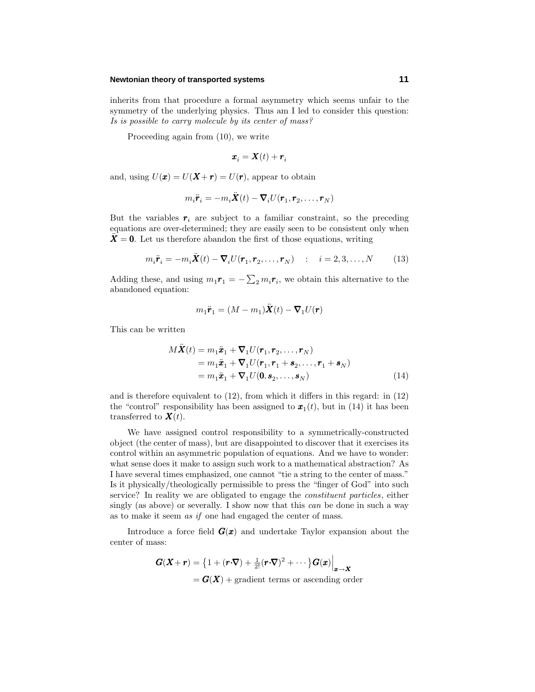#### **Newtonian theory of transported systems 11**

inherits from that procedure a formal asymmetry which seems unfair to the symmetry of the underlying physics. Thus am I led to consider this question: Is is possible to carry molecule by its center of mass?

Proceeding again from (10), we write

$$
\boldsymbol{x}_i = \boldsymbol{X}(t) + \boldsymbol{r}_i
$$

and, using  $U(\mathbf{x}) = U(\mathbf{X} + \mathbf{r}) = U(\mathbf{r})$ , appear to obtain

$$
m_i \ddot{\boldsymbol{r}}_i = -m_i \ddot{\boldsymbol{X}}(t) - \boldsymbol{\nabla}_i U(\boldsymbol{r}_1, \boldsymbol{r}_2, \dots, \boldsymbol{r}_N)
$$

But the variables  $r_i$  are subject to a familiar constraint, so the preceding equations are over-determined; they are easily seen to be consistent only when  $X = 0$ . Let us therefore abandon the first of those equations, writing

$$
m_i \ddot{\boldsymbol{r}}_i = -m_i \ddot{\boldsymbol{X}}(t) - \boldsymbol{\nabla}_i U(\boldsymbol{r}_1, \boldsymbol{r}_2, \dots, \boldsymbol{r}_N) \quad : \quad i = 2, 3, \dots, N \tag{13}
$$

Adding these, and using  $m_1 \mathbf{r}_1 = -\sum_2 m_i \mathbf{r}_i$ , we obtain this alternative to the abandoned equation:

$$
m_1\ddot{\boldsymbol{r}}_1 = (M - m_1)\ddot{\boldsymbol{X}}(t) - \boldsymbol{\nabla}_1 U(\boldsymbol{r})
$$

This can be written

$$
M\ddot{\mathbf{X}}(t) = m_1 \ddot{\mathbf{x}}_1 + \nabla_1 U(\mathbf{r}_1, \mathbf{r}_2, \dots, \mathbf{r}_N)
$$
  
=  $m_1 \ddot{\mathbf{x}}_1 + \nabla_1 U(\mathbf{r}_1, \mathbf{r}_1 + \mathbf{s}_2, \dots, \mathbf{r}_1 + \mathbf{s}_N)$   
=  $m_1 \ddot{\mathbf{x}}_1 + \nabla_1 U(\mathbf{0}, \mathbf{s}_2, \dots, \mathbf{s}_N)$  (14)

and is therefore equivalent to (12), from which it differs in this regard: in (12) the "control" responsibility has been assigned to  $x_1(t)$ , but in (14) it has been transferred to  $\mathbf{X}(t)$ .

We have assigned control responsibility to a symmetrically-constructed object (the center of mass), but are disappointed to discover that it exercises its control within an asymmetric population of equations. And we have to wonder: what sense does it make to assign such work to a mathematical abstraction? As I have several times emphasized, one cannot "tie a string to the center of mass." Is it physically/theologically permissible to press the "finger of God" into such service? In reality we are obligated to engage the constituent particles, either singly (as above) or severally. I show now that this can be done in such a way as to make it seem as if one had engaged the center of mass.

Introduce a force field  $G(x)$  and undertake Taylor expansion about the center of mass:

$$
\begin{aligned} \mathbf{G}(\mathbf{X}+\mathbf{r}) &= \left\{1 + (\mathbf{r} \cdot \nabla) + \frac{1}{2!} (\mathbf{r} \cdot \nabla)^2 + \cdots \right\} \mathbf{G}(\mathbf{x}) \Big|_{\mathbf{x} \to \mathbf{X}} \\ &= \mathbf{G}(\mathbf{X}) + \text{gradient terms or ascending order} \end{aligned}
$$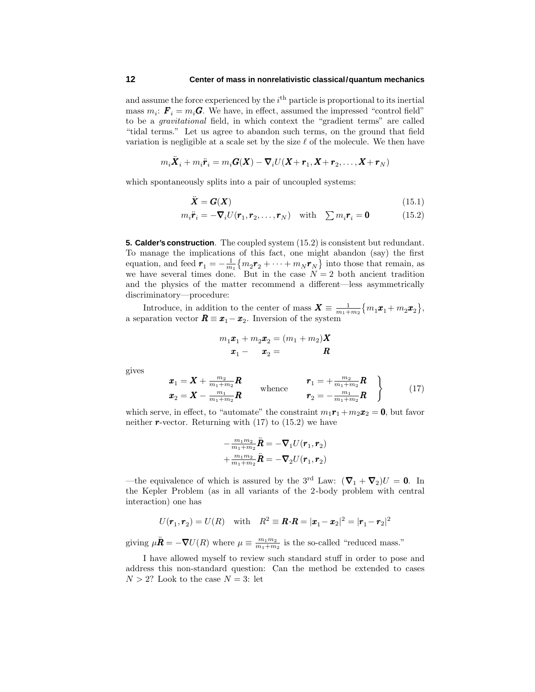and assume the force experienced by the *i*<sup>th</sup> particle is proportional to its inertial mass  $m_i$ :  $\mathbf{F}_i = m_i \mathbf{G}$ . We have, in effect, assumed the impressed "control field" to be a gravitational field, in which context the "gradient terms" are called "tidal terms." Let us agree to abandon such terms, on the ground that field variation is negligible at a scale set by the size  $\ell$  of the molecule. We then have

$$
m_i\ddot{\boldsymbol{X}}_i+m_i\ddot{\boldsymbol{r}}_i=m_i\boldsymbol{G}(\boldsymbol{X})-\boldsymbol{\nabla}_iU(\boldsymbol{X}+\boldsymbol{r}_1,\boldsymbol{X}+\boldsymbol{r}_2,\ldots,\boldsymbol{X}+\boldsymbol{r}_N)
$$

which spontaneously splits into a pair of uncoupled systems:

$$
\ddot{\boldsymbol{X}} = \boldsymbol{G}(\boldsymbol{X}) \tag{15.1}
$$

$$
m_i \ddot{\boldsymbol{r}}_i = -\boldsymbol{\nabla}_i U(\boldsymbol{r}_1, \boldsymbol{r}_2, \dots, \boldsymbol{r}_N) \quad \text{with} \quad \sum m_i \boldsymbol{r}_i = \mathbf{0} \tag{15.2}
$$

**5. Calder's construction**. The coupled system (15.2) is consistent but redundant. To manage the implications of this fact, one might abandon (say) the first equation, and feed  $\mathbf{r}_1 = -\frac{1}{m_1} \{ m_2 \mathbf{r}_2 + \cdots + m_N \mathbf{r}_N \}$  into those that remain, as we have several times done. But in the case  $N=2$  both ancient tradition and the physics of the matter recommend a different—less asymmetrically discriminatory—procedure:

Introduce, in addition to the center of mass  $\mathbf{X} \equiv \frac{1}{m_1 + m_2} \{ m_1 \mathbf{x}_1 + m_2 \mathbf{x}_2 \},\$ a separation vector  $\mathbf{R} \equiv \mathbf{x}_1 - \mathbf{x}_2$ . Inversion of the system

$$
m_1\boldsymbol{x}_1 + m_2\boldsymbol{x}_2 = (m_1 + m_2)\boldsymbol{X}
$$

$$
\boldsymbol{x}_1 - \boldsymbol{x}_2 = \boldsymbol{R}
$$

gives

$$
\begin{array}{ccc}\n\boldsymbol{x}_1 = \boldsymbol{X} + \frac{m_2}{m_1 + m_2} \boldsymbol{R} & \text{whence} & \boldsymbol{r}_1 = +\frac{m_2}{m_1 + m_2} \boldsymbol{R} \\
\boldsymbol{x}_2 = \boldsymbol{X} - \frac{m_1}{m_1 + m_2} \boldsymbol{R} & \boldsymbol{r}_2 = -\frac{m_1}{m_1 + m_2} \boldsymbol{R}\n\end{array}\n\right\} \tag{17}
$$

which serve, in effect, to "automate" the constraint  $m_1\mathbf{r}_1 + m_2\mathbf{r}_2 = \mathbf{0}$ , but favor neither  $r$ -vector. Returning with  $(17)$  to  $(15.2)$  we have

$$
\begin{array}{l} -\frac{m_1m_2}{m_1+m_2}\ddot{\pmb{R}}=-\pmb{\nabla}_1U(\pmb{r}_1,\pmb{r}_2)\\ +\frac{m_1m_2}{m_1+m_2}\ddot{\pmb{R}}=-\pmb{\nabla}_2U(\pmb{r}_1,\pmb{r}_2)\end{array}
$$

—the equivalence of which is assured by the 3<sup>rd</sup> Law:  $(\nabla_1 + \nabla_2)U = 0$ . In the Kepler Problem (as in all variants of the 2-body problem with central interaction) one has

$$
U(\boldsymbol{r}_1, \boldsymbol{r}_2) = U(R) \quad \text{with} \quad R^2 \equiv \boldsymbol{R} \cdot \boldsymbol{R} = |\boldsymbol{x}_1 - \boldsymbol{x}_2|^2 = |\boldsymbol{r}_1 - \boldsymbol{r}_2|^2
$$

giving  $\mu \ddot{\mathbf{R}} = -\nabla U(R)$  where  $\mu \equiv \frac{m_1 m_2}{m_1 + m_2}$  is the so-called "reduced mass."

I have allowed myself to review such standard stuff in order to pose and address this non-standard question: Can the method be extended to cases  $N > 2$ ? Look to the case  $N = 3$ : let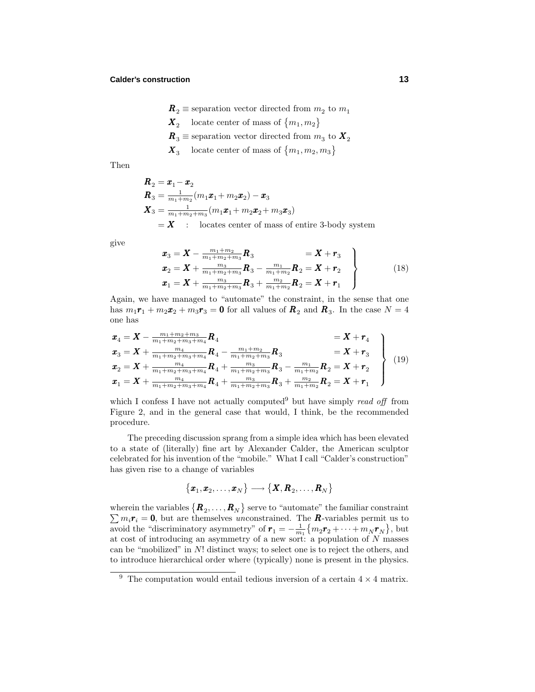- $\mathbf{R}_2 \equiv$  separation vector directed from  $m_2$  to  $m_1$
- $\mathbf{X}_2$  locate center of mass of  $\{m_1, m_2\}$
- $\boldsymbol{R}_3 \equiv$  separation vector directed from  $m_3$  to  $\boldsymbol{X}_2$
- $\mathbf{X}_3$  locate center of mass of  $\{m_1, m_2, m_3\}$

Then

$$
\begin{aligned}\n\mathbf{R}_2 &= \mathbf{x}_1 - \mathbf{x}_2 \\
\mathbf{R}_3 &= \frac{1}{m_1 + m_2} (m_1 \mathbf{x}_1 + m_2 \mathbf{x}_2) - \mathbf{x}_3 \\
\mathbf{X}_3 &= \frac{1}{m_1 + m_2 + m_3} (m_1 \mathbf{x}_1 + m_2 \mathbf{x}_2 + m_3 \mathbf{x}_3) \\
&= \mathbf{X} \quad : \quad \text{locates center of mass of entire 3-body system}\n\end{aligned}
$$

give

$$
\begin{aligned}\n\boldsymbol{x}_{3} &= \boldsymbol{X} - \frac{m_{1} + m_{2}}{m_{1} + m_{2} + m_{3}} \boldsymbol{R}_{3} &= \boldsymbol{X} + \boldsymbol{r}_{3} \\
\boldsymbol{x}_{2} &= \boldsymbol{X} + \frac{m_{3}}{m_{1} + m_{2} + m_{3}} \boldsymbol{R}_{3} - \frac{m_{1}}{m_{1} + m_{2}} \boldsymbol{R}_{2} = \boldsymbol{X} + \boldsymbol{r}_{2} \\
\boldsymbol{x}_{1} &= \boldsymbol{X} + \frac{m_{3}}{m_{1} + m_{2} + m_{3}} \boldsymbol{R}_{3} + \frac{m_{2}}{m_{1} + m_{2}} \boldsymbol{R}_{2} = \boldsymbol{X} + \boldsymbol{r}_{1}\n\end{aligned}\n\tag{18}
$$

Again, we have managed to "automate" the constraint, in the sense that one has  $m_1\mathbf{r}_1 + m_2\mathbf{r}_2 + m_3\mathbf{r}_3 = \mathbf{0}$  for all values of  $\mathbf{R}_2$  and  $\mathbf{R}_3$ . In the case  $N = 4$ one has

$$
\begin{aligned}\n\mathbf{x}_{4} &= \mathbf{X} - \frac{m_{1} + m_{2} + m_{3}}{m_{1} + m_{2} + m_{3} + m_{4}} \mathbf{R}_{4} &= \mathbf{X} + \mathbf{r}_{4} \\
\mathbf{x}_{3} &= \mathbf{X} + \frac{m_{4}}{m_{1} + m_{2} + m_{3} + m_{4}} \mathbf{R}_{4} - \frac{m_{1} + m_{2}}{m_{1} + m_{2} + m_{3}} \mathbf{R}_{3} &= \mathbf{X} + \mathbf{r}_{3} \\
\mathbf{x}_{2} &= \mathbf{X} + \frac{m_{4}}{m_{1} + m_{2} + m_{3} + m_{4}} \mathbf{R}_{4} + \frac{m_{3}}{m_{1} + m_{2} + m_{3}} \mathbf{R}_{3} - \frac{m_{1}}{m_{1} + m_{2}} \mathbf{R}_{2} &= \mathbf{X} + \mathbf{r}_{2} \\
\mathbf{x}_{1} &= \mathbf{X} + \frac{m_{4}}{m_{1} + m_{2} + m_{3} + m_{4}} \mathbf{R}_{4} + \frac{m_{3}}{m_{1} + m_{2} + m_{3}} \mathbf{R}_{3} + \frac{m_{2}}{m_{1} + m_{2}} \mathbf{R}_{2} &= \mathbf{X} + \mathbf{r}_{1}\n\end{aligned}\n\tag{19}
$$

which I confess I have not actually computed<sup>9</sup> but have simply read off from Figure 2, and in the general case that would, I think, be the recommended procedure.

The preceding discussion sprang from a simple idea which has been elevated to a state of (literally) fine art by Alexander Calder, the American sculptor celebrated for his invention of the "mobile." What I call "Calder's construction" has given rise to a change of variables

$$
\big\{\pmb{x}_1, \pmb{x}_2, \ldots, \pmb{x}_N\big\} \longrightarrow \big\{\pmb{X}, \pmb{R}_2, \ldots, \pmb{R}_N\big\}
$$

wherein the variables  $\{\boldsymbol{R}_2,\ldots,\boldsymbol{R}_N\}$  serve to "automate" the familiar constraint  $\sum m_i \mathbf{r}_i = \mathbf{0}$ , but are themselves unconstrained. The *R*-variables permit us to avoid the "discriminatory asymmetry" of  $\mathbf{r}_1 = -\frac{1}{m_1} \{ m_2 \mathbf{r}_2 + \cdots + m_N \mathbf{r}_N \}$ , but at cost of introducing an asymmetry of a new sort: a population of *N* masses can be "mobilized" in *N*! distinct ways; to select one is to reject the others, and to introduce hierarchical order where (typically) none is present in the physics.

<sup>&</sup>lt;sup>9</sup> The computation would entail tedious inversion of a certain  $4 \times 4$  matrix.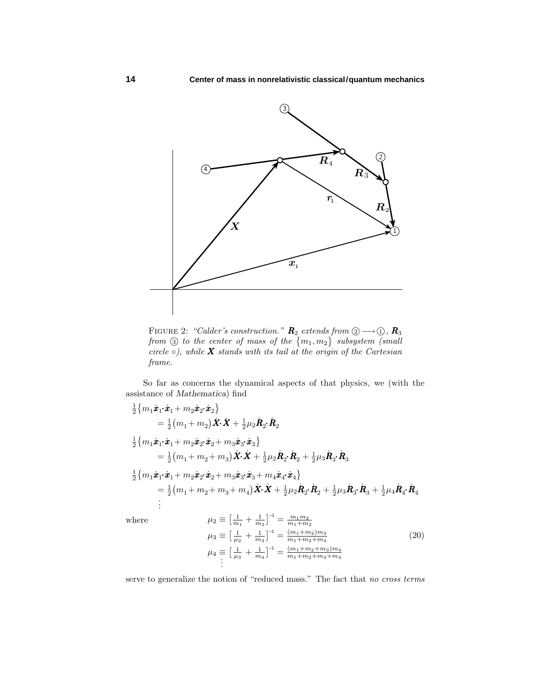

FIGURE 2: "Calder's construction."  $\mathbf{R}_2$  extends from  $\textcircled{2}\longrightarrow\textcircled{1}$ ,  $\mathbf{R}_3$ from  $\circled{3}$  to the center of mass of the  $\{m_1, m_2\}$  subsystem (small circle  $\circ$ ), while **X** stands with its tail at the origin of the Cartesian frame.

So far as concerns the dynamical aspects of that physics, we (with the assistance of *Mathematica*) find

$$
\begin{split}\n&\frac{1}{2}\{m_1\dot{x}_1\cdot\dot{x}_1 + m_2\dot{x}_2\cdot\dot{x}_2\} \\
&= \frac{1}{2}(m_1 + m_2)\dot{X}\cdot\dot{X} + \frac{1}{2}\mu_2\dot{R}_2\cdot\dot{R}_2 \\
&\frac{1}{2}\{m_1\dot{x}_1\cdot\dot{x}_1 + m_2\dot{x}_2\cdot\dot{x}_2 + m_3\dot{x}_3\cdot\dot{x}_3\} \\
&= \frac{1}{2}(m_1 + m_2 + m_3)\dot{X}\cdot\dot{X} + \frac{1}{2}\mu_2\dot{R}_2\cdot\dot{R}_2 + \frac{1}{2}\mu_3\dot{R}_3\cdot\dot{R}_3 \\
&\frac{1}{2}\{m_1\dot{x}_1\cdot\dot{x}_1 + m_2\dot{x}_2\cdot\dot{x}_2 + m_3\dot{x}_3\cdot\dot{x}_3 + m_4\dot{x}_4\cdot\dot{x}_4\} \\
&= \frac{1}{2}(m_1 + m_2 + m_3 + m_4)\dot{X}\cdot\dot{X} + \frac{1}{2}\mu_2\dot{R}_2\cdot\dot{R}_2 + \frac{1}{2}\mu_3\dot{R}_3\cdot\dot{R}_3 + \frac{1}{2}\mu_4\dot{R}_4\cdot\dot{R}_4\n\end{split}
$$

 $where$ 

$$
\mu_2 \equiv \left[\frac{1}{m_1} + \frac{1}{m_2}\right]^{-1} = \frac{m_1 m_2}{m_1 + m_2}
$$
\n
$$
\mu_3 \equiv \left[\frac{1}{\mu_2} + \frac{1}{m_3}\right]^{-1} = \frac{(m_1 + m_2)m_3}{m_1 + m_2 + m_3}
$$
\n
$$
\mu_4 \equiv \left[\frac{1}{\mu_3} + \frac{1}{m_4}\right]^{-1} = \frac{(m_1 + m_2 + m_3)m_4}{m_1 + m_2 + m_3 + m_4}
$$
\n
$$
\vdots
$$
\n(20)

serve to generalize the notion of "reduced mass." The fact that no cross terms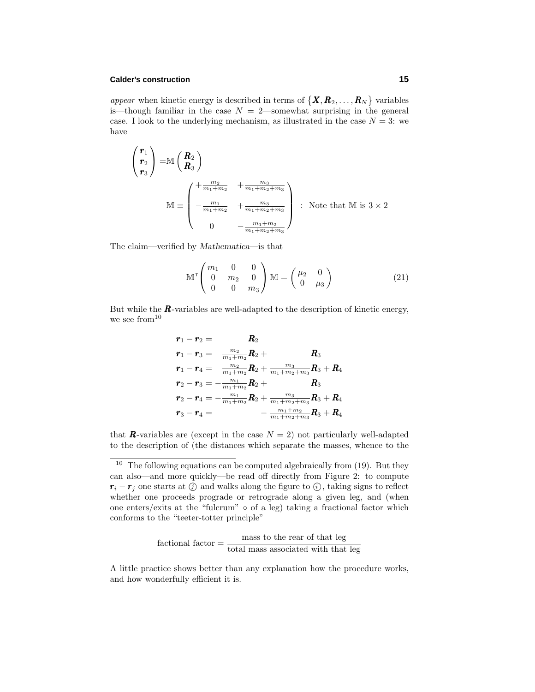#### **Calder's construction 15**

appear when kinetic energy is described in terms of  $\{X, R_2, \ldots, R_N\}$  variables is—though familiar in the case  $N = 2$ —somewhat surprising in the general case. I look to the underlying mechanism, as illustrated in the case  $N = 3$ : we have

$$
\begin{pmatrix}\nr_1 \\
r_2 \\
r_3\n\end{pmatrix} = \mathbb{M}\begin{pmatrix}\nR_2 \\
R_3\n\end{pmatrix}
$$
\n
$$
\mathbb{M} \equiv \begin{pmatrix}\n+\frac{m_2}{m_1 + m_2} & +\frac{m_3}{m_1 + m_2 + m_3} \\
-\frac{m_1}{m_1 + m_2} & +\frac{m_3}{m_1 + m_2 + m_3} \\
0 & -\frac{m_1 + m_2}{m_1 + m_2 + m_3}\n\end{pmatrix} : \text{Note that } \mathbb{M} \text{ is } 3 \times 2
$$

The claim—verified by *Mathematica*—is that

$$
\mathbb{M}^{\mathsf{T}}\begin{pmatrix} m_1 & 0 & 0 \\ 0 & m_2 & 0 \\ 0 & 0 & m_3 \end{pmatrix} \mathbb{M} = \begin{pmatrix} \mu_2 & 0 \\ 0 & \mu_3 \end{pmatrix}
$$
 (21)

But while the  $\boldsymbol{R}$ -variables are well-adapted to the description of kinetic energy, we see from<sup>10</sup>

$$
\begin{aligned} \bm{r}_1 - \bm{r}_2 &= \bm{R}_2 \\ \bm{r}_1 - \bm{r}_3 &= \frac{m_2}{m_1 + m_2} \bm{R}_2 + \bm{R}_3 \\ \bm{r}_1 - \bm{r}_4 &= \frac{m_2}{m_1 + m_2} \bm{R}_2 + \frac{m_3}{m_1 + m_2 + m_3} \bm{R}_3 + \bm{R}_4 \\ \bm{r}_2 - \bm{r}_3 &= -\frac{m_1}{m_1 + m_2} \bm{R}_2 + \bm{R}_3 \\ \bm{r}_2 - \bm{r}_4 &= -\frac{m_1}{m_1 + m_2} \bm{R}_2 + \frac{m_3}{m_1 + m_2 + m_3} \bm{R}_3 + \bm{R}_4 \\ \bm{r}_3 - \bm{r}_4 &= \frac{m_1 + m_2}{m_1 + m_2 + m_3} \bm{R}_3 + \bm{R}_4 \end{aligned}
$$

that **R**-variables are (except in the case  $N = 2$ ) not particularly well-adapted to the description of (the distances which separate the masses, whence to the

$$
fractional factor = \frac{mass\ to\ the\ rear\ of\ that\ leg}{total\ mass\ associated\ with\ that\ leg}
$$

A little practice shows better than any explanation how the procedure works, and how wonderfully efficient it is.

 $10$  The following equations can be computed algebraically from (19). But they can also—and more quickly—be read off directly from Figure 2: to compute  $r_i - r_j$  one starts at  $\widehat{y}$  and walks along the figure to  $\widehat{y}$ , taking signs to reflect whether one proceeds prograde or retrograde along a given leg, and (when one enters/exits at the "fulcrum"  $\circ$  of a leg) taking a fractional factor which conforms to the "teeter-totter principle"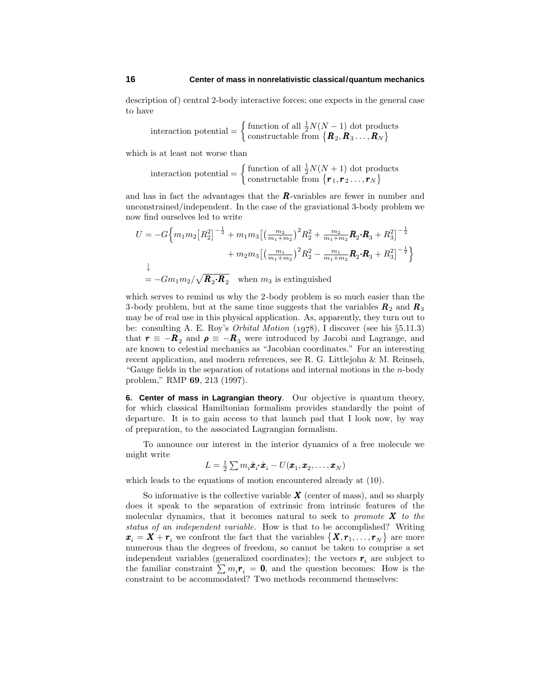description of) central 2-body interactive forces; one expects in the general case to have

interaction potential = 
$$
\begin{cases} \text{function of all } \frac{1}{2}N(N-1) \text{ dot products} \\ \text{constructable from } \{R_2, R_3 \dots, R_N\} \end{cases}
$$

which is at least not worse than

interaction potential = 
$$
\begin{cases} \text{function of all } \frac{1}{2}N(N+1) \text{ dot products} \\ \text{constructable from } \{ \mathbf{r}_1, \mathbf{r}_2, ..., \mathbf{r}_N \} \end{cases}
$$

and has in fact the advantages that the *R*-variables are fewer in number and unconstrained/independent. In the case of the graviational 3-body problem we now find ourselves led to write

$$
U = -G\Big\{m_1m_2\big[R_2^2\big]^{-\frac{1}{2}} + m_1m_3\big[\big(\frac{m_2}{m_1+m_2}\big)^2R_2^2 + \frac{m_2}{m_1+m_2}\mathbf{R}_2\cdot\mathbf{R}_3 + R_3^2\big]^{-\frac{1}{2}} + m_2m_3\big[\big(\frac{m_1}{m_1+m_2}\big)^2R_2^2 - \frac{m_1}{m_1+m_2}\mathbf{R}_2\cdot\mathbf{R}_3 + R_3^2\big]^{-\frac{1}{2}}\Big\}
$$
  
=  $-Gm_1m_2/\sqrt{\mathbf{R}_2\cdot\mathbf{R}_2}$  when  $m_3$  is extinguished

which serves to remind us why the 2-body problem is so much easier than the 3-body problem, but at the same time suggests that the variables  $\mathbf{R}_2$  and  $\mathbf{R}_3$ may be of real use in this physical application. As, apparently, they turn out to be: consulting A. E. Roy's *Orbital Motion*  $(1978)$ , I discover (see his  $\S 5.11.3$ ) that  $r \equiv -R_2$  and  $\rho \equiv -R_3$  were introduced by Jacobi and Lagrange, and are known to celestial mechanics as "Jacobian coordinates." For an interesting recent application, and modern references, see R. G. Littlejohn & M. Reinseh, "Gauge fields in the separation of rotations and internal motions in the *n*-body problem," RMP **69**, 213 (1997).

**6. Center of mass in Lagrangian theory**. Our objective is quantum theory, for which classical Hamiltonian formalism provides standardly the point of departure. It is to gain access to that launch pad that I look now, by way of preparation, to the associated Lagrangian formalism.

To announce our interest in the interior dynamics of a free molecule we might write

$$
L = \frac{1}{2} \sum m_i \dot{\boldsymbol{x}}_i \cdot \dot{\boldsymbol{x}}_i - U(\boldsymbol{x}_1, \boldsymbol{x}_2, \dots, \boldsymbol{x}_N)
$$

which leads to the equations of motion encountered already at (10).

So informative is the collective variable  $\boldsymbol{X}$  (center of mass), and so sharply does it speak to the separation of extrinsic from intrinsic features of the molecular dynamics, that it becomes natural to seek to promote *X* to the status of an independent variable. How is that to be accomplished? Writing  $\boldsymbol{x}_i = \boldsymbol{X} + \boldsymbol{r}_i$  we confront the fact that the variables  $\{\boldsymbol{X}, \boldsymbol{r}_1, \dots, \boldsymbol{r}_N\}$  are more numerous than the degrees of freedom, so cannot be taken to comprise a set independent variables (generalized coordinates); the vectors  $r_i$  are subject to the familiar constraint  $\sum m_i \mathbf{r}_i = \mathbf{0}$ , and the question becomes: How is the constraint to be accommodated? Two methods recommend themselves: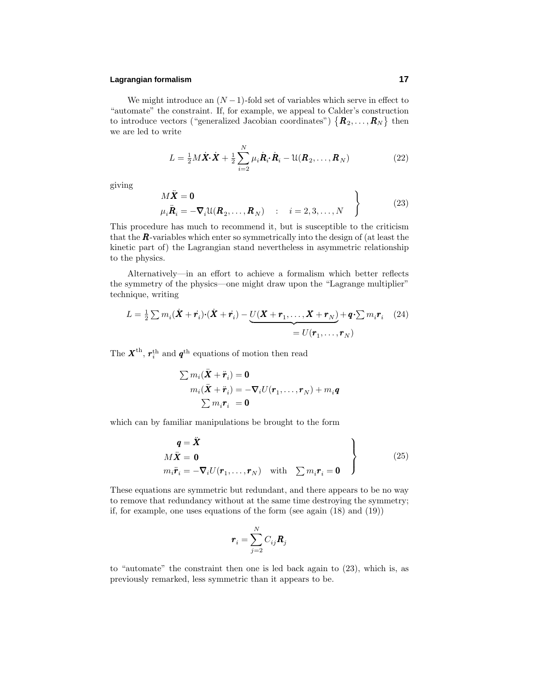### **Lagrangian formalism 17**

We might introduce an  $(N-1)$ -fold set of variables which serve in effect to "automate" the constraint. If, for example, we appeal to Calder's construction to introduce vectors ("generalized Jacobian coordinates")  $\{R_2, \ldots, R_N\}$  then we are led to write

$$
L = \frac{1}{2}M\dot{\boldsymbol{X}}\cdot\dot{\boldsymbol{X}} + \frac{1}{2}\sum_{i=2}^{N}\mu_{i}\dot{\boldsymbol{R}}_{i}\cdot\dot{\boldsymbol{R}}_{i} - \mathfrak{U}(\boldsymbol{R}_{2},\ldots,\boldsymbol{R}_{N})
$$
(22)

giving

$$
\begin{aligned}\nM\ddot{\mathbf{X}} &= \mathbf{0} \\
\mu_i \ddot{\mathbf{R}}_i &= -\nabla_i \mathfrak{U}(\mathbf{R}_2, \dots, \mathbf{R}_N) & \colon i = 2, 3, \dots, N\n\end{aligned}
$$
\n(23)

This procedure has much to recommend it, but is susceptible to the criticism that the *R*-variables which enter so symmetrically into the design of (at least the kinetic part of) the Lagrangian stand nevertheless in asymmetric relationship to the physics.

Alternatively—in an effort to achieve a formalism which better reflects the symmetry of the physics—one might draw upon the "Lagrange multiplier" technique, writing

$$
L = \frac{1}{2} \sum m_i (\dot{\boldsymbol{X}} + \dot{\boldsymbol{r}}_i) \cdot (\dot{\boldsymbol{X}} + \dot{\boldsymbol{r}}_i) - \underbrace{U(\boldsymbol{X} + \boldsymbol{r}_1, \dots, \boldsymbol{X} + \boldsymbol{r}_N)}_{= U(\boldsymbol{r}_1, \dots, \boldsymbol{r}_N)} + \boldsymbol{q} \cdot \sum m_i \boldsymbol{r}_i \tag{24}
$$

The  $X^{\text{th}}$ ,  $r_i^{\text{th}}$  and  $q^{\text{th}}$  equations of motion then read

$$
\sum m_i(\ddot{\mathbf{X}} + \ddot{\mathbf{r}}_i) = \mathbf{0}
$$
  
\n
$$
m_i(\ddot{\mathbf{X}} + \ddot{\mathbf{r}}_i) = -\nabla_i U(\mathbf{r}_1, \dots, \mathbf{r}_N) + m_i \mathbf{q}
$$
  
\n
$$
\sum m_i \mathbf{r}_i = \mathbf{0}
$$

which can by familiar manipulations be brought to the form

$$
\left\{\n \begin{aligned}\n q &= \ddot{X} \\
 M\ddot{X} &= 0 \\
 m_i \ddot{r}_i &= -\nabla_i U(\mathbf{r}_1, \dots, \mathbf{r}_N) \quad \text{with} \quad \sum m_i \mathbf{r}_i = \mathbf{0}\n \end{aligned}\n \right.\n \tag{25}
$$

These equations are symmetric but redundant, and there appears to be no way to remove that redundancy without at the same time destroying the symmetry; if, for example, one uses equations of the form (see again (18) and (19))

$$
\boldsymbol{r}_i = \sum_{j=2}^N C_{ij} \boldsymbol{R}_j
$$

to "automate" the constraint then one is led back again to (23), which is, as previously remarked, less symmetric than it appears to be.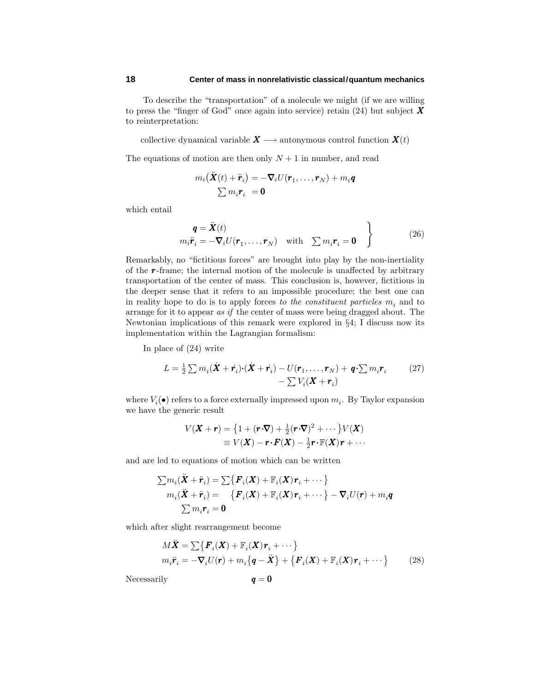To describe the "transportation" of a molecule we might (if we are willing to press the "finger of God" once again into service) retain (24) but subject *X* to reinterpretation:

collective dynamical variable  $X \longrightarrow$  autonymous control function  $X(t)$ 

The equations of motion are then only  $N+1$  in number, and read

$$
m_i(\ddot{\boldsymbol{X}}(t) + \ddot{\boldsymbol{r}}_i) = -\boldsymbol{\nabla}_i U(\boldsymbol{r}_1, \dots, \boldsymbol{r}_N) + m_i \boldsymbol{q}
$$
  

$$
\sum m_i \boldsymbol{r}_i = \boldsymbol{0}
$$

which entail

$$
\boldsymbol{q} = \ddot{\boldsymbol{X}}(t) \nm_i \ddot{\boldsymbol{r}}_i = -\boldsymbol{\nabla}_i U(\boldsymbol{r}_1, \dots, \boldsymbol{r}_N) \quad \text{with} \quad \sum m_i \boldsymbol{r}_i = \boldsymbol{0} \quad \left\}
$$
\n(26)

Remarkably, no "fictitious forces" are brought into play by the non-inertiality of the *r* -frame; the internal motion of the molecule is unaffected by arbitrary transportation of the center of mass. This conclusion is, however, fictitious in the deeper sense that it refers to an impossible procedure; the best one can in reality hope to do is to apply forces to the constituent particles *m<sup>i</sup>* and to arrange for it to appear as if the center of mass were being dragged about. The Newtonian implications of this remark were explored in §4; I discuss now its implementation within the Lagrangian formalism:

In place of (24) write

$$
L = \frac{1}{2} \sum m_i (\dot{\boldsymbol{X}} + \dot{\boldsymbol{r}_i}) \cdot (\dot{\boldsymbol{X}} + \dot{\boldsymbol{r}_i}) - U(\boldsymbol{r}_1, \dots, \boldsymbol{r}_N) + \boldsymbol{q} \cdot \sum m_i \boldsymbol{r}_i \qquad (27)
$$

$$
- \sum V_i (\boldsymbol{X} + \boldsymbol{r}_i)
$$

where  $V_i(\bullet)$  refers to a force externally impressed upon  $m_i$ . By Taylor expansion we have the generic result

$$
V(\mathbf{X} + \mathbf{r}) = \left\{1 + (\mathbf{r} \cdot \nabla) + \frac{1}{2} (\mathbf{r} \cdot \nabla)^2 + \cdots \right\} V(\mathbf{X})
$$
  
\n
$$
\equiv V(\mathbf{X}) - \mathbf{r} \cdot \mathbf{F}(\mathbf{X}) - \frac{1}{2} \mathbf{r} \cdot \mathbb{F}(\mathbf{X}) \mathbf{r} + \cdots
$$

and are led to equations of motion which can be written

$$
\sum m_i(\ddot{\mathbf{X}} + \ddot{\mathbf{r}}_i) = \sum \{ \mathbf{F}_i(\mathbf{X}) + \mathbb{F}_i(\mathbf{X}) \mathbf{r}_i + \cdots \}
$$
  
\n
$$
m_i(\ddot{\mathbf{X}} + \ddot{\mathbf{r}}_i) = \{ \mathbf{F}_i(\mathbf{X}) + \mathbb{F}_i(\mathbf{X}) \mathbf{r}_i + \cdots \} - \nabla_i U(\mathbf{r}) + m_i \mathbf{q}
$$
  
\n
$$
\sum m_i \mathbf{r}_i = \mathbf{0}
$$

which after slight rearrangement become

$$
M\ddot{\mathbf{X}} = \sum \{ \mathbf{F}_i(\mathbf{X}) + \mathbb{F}_i(\mathbf{X})\mathbf{r}_i + \cdots \}
$$
  
\n
$$
m_i\ddot{\mathbf{r}}_i = -\nabla_i U(\mathbf{r}) + m_i \{\mathbf{q} - \ddot{\mathbf{X}}\} + \{\mathbf{F}_i(\mathbf{X}) + \mathbb{F}_i(\mathbf{X})\mathbf{r}_i + \cdots \}
$$
 (28)

Necessarily  $q = 0$ 

$$
\pmb{q}=\pmb{0}
$$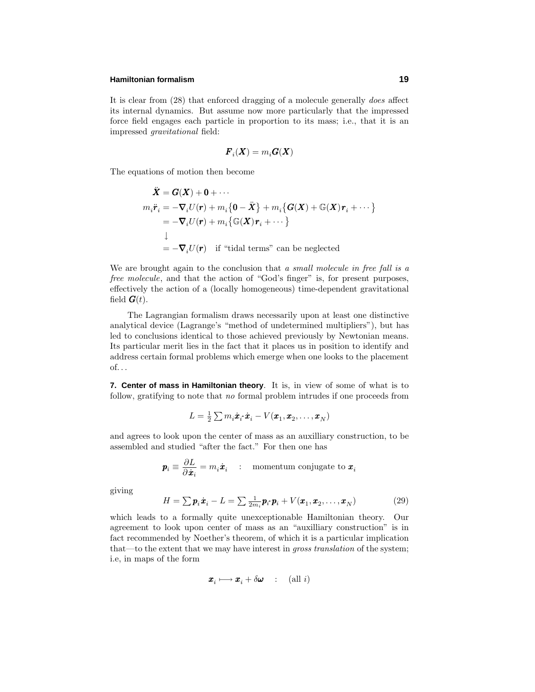#### **Hamiltonian formalism 19**

It is clear from (28) that enforced dragging of a molecule generally does affect its internal dynamics. But assume now more particularly that the impressed force field engages each particle in proportion to its mass; i.e., that it is an impressed gravitational field:

$$
\boldsymbol{F}_i(\boldsymbol{X}) = m_i \boldsymbol{G}(\boldsymbol{X})
$$

The equations of motion then become

$$
\ddot{\mathbf{X}} = \mathbf{G}(\mathbf{X}) + \mathbf{0} + \cdots
$$
\n
$$
m_i \ddot{\mathbf{r}}_i = -\nabla_i U(\mathbf{r}) + m_i \{ \mathbf{0} - \ddot{\mathbf{X}} \} + m_i \{ \mathbf{G}(\mathbf{X}) + \mathbb{G}(\mathbf{X}) \mathbf{r}_i + \cdots \}
$$
\n
$$
= -\nabla_i U(\mathbf{r}) + m_i \{ \mathbb{G}(\mathbf{X}) \mathbf{r}_i + \cdots \}
$$
\n
$$
\downarrow
$$
\n
$$
= -\nabla_i U(\mathbf{r}) \quad \text{if "tidal terms" can be neglected}
$$

We are brought again to the conclusion that a small molecule in free fall is a free molecule, and that the action of "God's finger" is, for present purposes, effectively the action of a (locally homogeneous) time-dependent gravitational field  $\boldsymbol{G}(t)$ .

The Lagrangian formalism draws necessarily upon at least one distinctive analytical device (Lagrange's "method of undetermined multipliers"), but has led to conclusions identical to those achieved previously by Newtonian means. Its particular merit lies in the fact that it places us in position to identify and address certain formal problems which emerge when one looks to the placement of*...*

**7. Center of mass in Hamiltonian theory**. It is, in view of some of what is to follow, gratifying to note that no formal problem intrudes if one proceeds from

$$
L = \frac{1}{2}\sum m_i \dot{\boldsymbol{x}}_i \cdot \dot{\boldsymbol{x}}_i - V(\boldsymbol{x}_1, \boldsymbol{x}_2, \dots, \boldsymbol{x}_N)
$$

and agrees to look upon the center of mass as an auxilliary construction, to be assembled and studied "after the fact." For then one has

$$
\boldsymbol{p}_i \equiv \frac{\partial L}{\partial \dot{\boldsymbol{x}}_i} = m_i \dot{\boldsymbol{x}}_i \quad : \quad \text{momentum conjugate to } \boldsymbol{x}_i
$$

giving

$$
H = \sum \boldsymbol{p}_i \dot{\boldsymbol{x}}_i - L = \sum \frac{1}{2m_i} \boldsymbol{p}_i \cdot \boldsymbol{p}_i + V(\boldsymbol{x}_1, \boldsymbol{x}_2, \dots, \boldsymbol{x}_N)
$$
(29)

which leads to a formally quite unexceptionable Hamiltonian theory. Our agreement to look upon center of mass as an "auxilliary construction" is in fact recommended by Noether's theorem, of which it is a particular implication that—to the extent that we may have interest in gross translation of the system; i.e, in maps of the form

$$
\pmb{x}_i \longmapsto \pmb{x}_i + \delta \pmb{\omega} \qquad (\text{all } i)
$$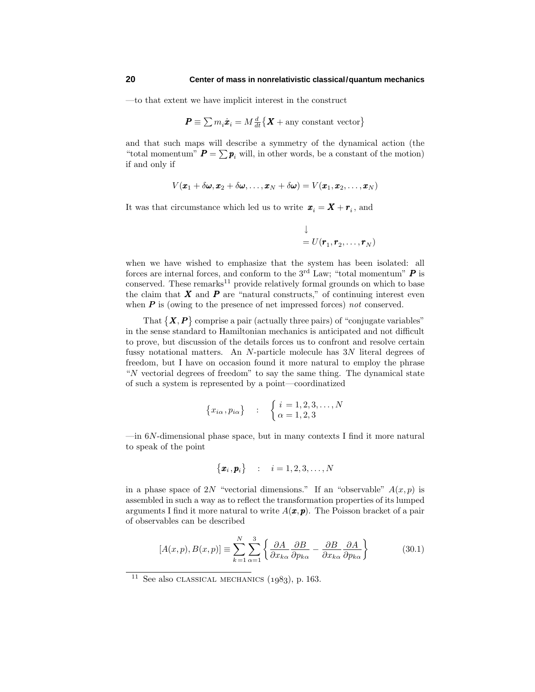—to that extent we have implicit interest in the construct

$$
\boldsymbol{P} \equiv \sum m_i \dot{\boldsymbol{x}}_i = M \frac{d}{dt} \big\{ \boldsymbol{X} + \text{any constant vector} \big\}
$$

and that such maps will describe a symmetry of the dynamical action (the "total momentum"  $P = \sum p_i$  will, in other words, be a constant of the motion) if and only if

$$
V(\pmb{x}_1+\delta \pmb{\omega},\pmb{x}_2+\delta \pmb{\omega},\ldots,\pmb{x}_N+\delta \pmb{\omega})=V(\pmb{x}_1,\pmb{x}_2,\ldots,\pmb{x}_N)
$$

It was that circumstance which led us to write  $\boldsymbol{x}_i = \boldsymbol{X} + \boldsymbol{r}_i$ , and

$$
\downarrow
$$
  
=  $U(\mathbf{r}_1, \mathbf{r}_2, \dots, \mathbf{r}_N)$ 

when we have wished to emphasize that the system has been isolated: all forces are internal forces, and conform to the  $3<sup>rd</sup>$  Law; "total momentum"  $P$  is conserved. These remarks $^{11}$  provide relatively formal grounds on which to base the claim that  $\boldsymbol{X}$  and  $\boldsymbol{P}$  are "natural constructs," of continuing interest even when **P** is (owing to the presence of net impressed forces) not conserved.

That  $\{X, P\}$  comprise a pair (actually three pairs) of "conjugate variables" in the sense standard to Hamiltonian mechanics is anticipated and not difficult to prove, but discussion of the details forces us to confront and resolve certain fussy notational matters. An *N*-particle molecule has 3*N* literal degrees of freedom, but I have on occasion found it more natural to employ the phrase "*N* vectorial degrees of freedom" to say the same thing. The dynamical state of such a system is represented by a point—coordinatized

$$
\{x_{i\alpha}, p_{i\alpha}\} \quad : \quad \begin{cases} i = 1, 2, 3, \dots, N \\ \alpha = 1, 2, 3 \end{cases}
$$

—in 6*N*-dimensional phase space, but in many contexts I find it more natural to speak of the point

$$
\big\{\boldsymbol{x}_i\,,\boldsymbol{p}_i\big\} \quad : \quad i=1,2,3,\ldots,N
$$

in a phase space of 2*N* "vectorial dimensions." If an "observable"  $A(x, p)$  is assembled in such a way as to reflect the transformation properties of its lumped arguments I find it more natural to write  $A(\mathbf{x}, \mathbf{p})$ . The Poisson bracket of a pair of observables can be described

$$
[A(x,p),B(x,p)] \equiv \sum_{k=1}^{N} \sum_{\alpha=1}^{3} \left\{ \frac{\partial A}{\partial x_{k\alpha}} \frac{\partial B}{\partial p_{k\alpha}} - \frac{\partial B}{\partial x_{k\alpha}} \frac{\partial A}{\partial p_{k\alpha}} \right\}
$$
(30.1)

<sup>&</sup>lt;sup>11</sup> See also CLASSICAL MECHANICS  $(1983)$ , p. 163.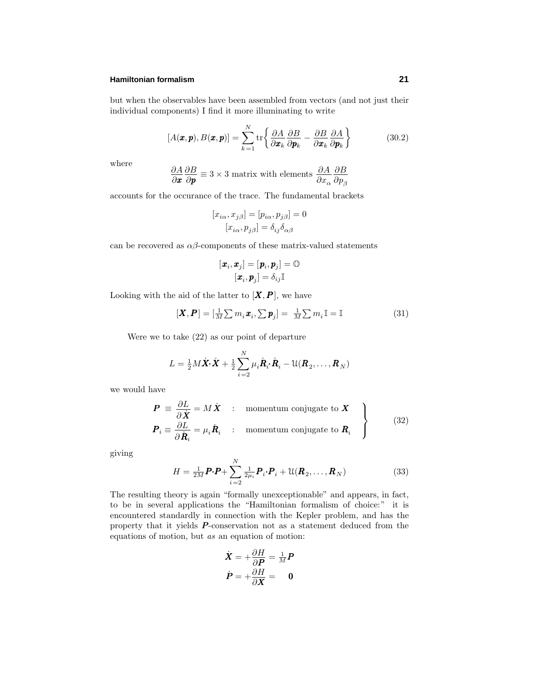### **Hamiltonian formalism 21**

but when the observables have been assembled from vectors (and not just their individual components) I find it more illuminating to write

$$
[A(\pmb{x},\pmb{p}),B(\pmb{x},\pmb{p})]=\sum_{k=1}^N\text{tr}\bigg\{\frac{\partial A}{\partial\pmb{x}_k}\frac{\partial B}{\partial\pmb{p}_k}-\frac{\partial B}{\partial\pmb{x}_k}\frac{\partial A}{\partial\pmb{p}_k}\bigg\}\qquad(30.2)
$$

where

$$
\frac{\partial A}{\partial x}\frac{\partial B}{\partial p} \equiv 3 \times 3 \text{ matrix with elements } \frac{\partial A}{\partial x_{\alpha}}\frac{\partial B}{\partial p_{\beta}}
$$

accounts for the occurance of the trace. The fundamental brackets

$$
[x_{i\alpha}, x_{j\beta}] = [p_{i\alpha}, p_{j\beta}] = 0
$$

$$
[x_{i\alpha}, p_{j\beta}] = \delta_{ij}\delta_{\alpha\beta}
$$

can be recovered as  $\alpha\beta$ -components of these matrix-valued statements

$$
[\textbf{\textit{x}}_i,\textbf{\textit{x}}_j]=[\textbf{\textit{p}}_i,\textbf{\textit{p}}_j]=\mathbb{O}\\ [\textbf{\textit{x}}_i,\textbf{\textit{p}}_j]=\delta_{ij}\mathbb{I}
$$

Looking with the aid of the latter to  $[X, P]$ , we have

$$
[\boldsymbol{X}, \boldsymbol{P}] = [\frac{1}{M} \sum m_i \boldsymbol{x}_i, \sum \boldsymbol{p}_j] = \frac{1}{M} \sum m_i \mathbb{I} = \mathbb{I}
$$
\n(31)

Were we to take (22) as our point of departure

$$
L = \frac{1}{2}M\dot{\boldsymbol{X}}\cdot\dot{\boldsymbol{X}} + \frac{1}{2}\sum_{i=2}^{N}\mu_{i}\dot{\boldsymbol{R}}_{i}\cdot\dot{\boldsymbol{R}}_{i} - \mathfrak{U}(\boldsymbol{R}_{2},\ldots,\boldsymbol{R}_{N})
$$

we would have

$$
\boldsymbol{P} \equiv \frac{\partial L}{\partial \dot{\boldsymbol{X}}} = M \dot{\boldsymbol{X}} \quad : \quad \text{momentum conjugate to } \boldsymbol{X}
$$
\n
$$
\boldsymbol{P}_i \equiv \frac{\partial L}{\partial \dot{\boldsymbol{R}}_i} = \mu_i \dot{\boldsymbol{R}}_i \quad : \quad \text{momentum conjugate to } \boldsymbol{R}_i \quad \left\}
$$
\n(32)

giving

$$
H = \frac{1}{2M}\boldsymbol{P}\cdot\boldsymbol{P} + \sum_{i=2}^{N} \frac{1}{2\mu_i} \boldsymbol{P}_i \cdot \boldsymbol{P}_i + \mathfrak{U}(\boldsymbol{R}_2, \dots, \boldsymbol{R}_N)
$$
(33)

The resulting theory is again "formally unexceptionable" and appears, in fact, to be in several applications the "Hamiltonian formalism of choice:" it is encountered standardly in connection with the Kepler problem, and has the property that it yields *P* -conservation not as a statement deduced from the equations of motion, but as an equation of motion:

$$
\dot{X} = +\frac{\partial H}{\partial P} = \frac{1}{M}P
$$

$$
\dot{P} = +\frac{\partial H}{\partial X} = 0
$$